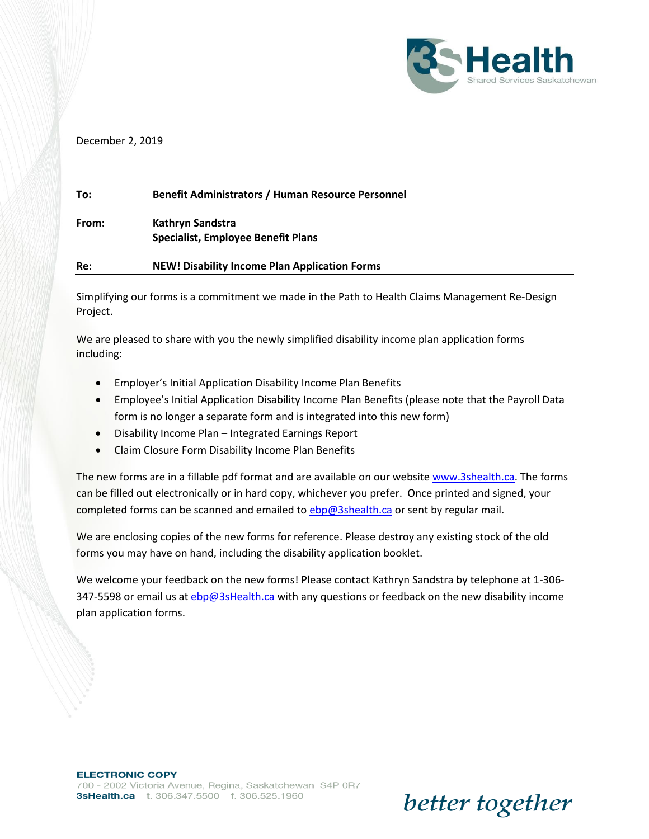

better together

### December 2, 2019

| To:   | <b>Benefit Administrators / Human Resource Personnel</b>      |
|-------|---------------------------------------------------------------|
| From: | Kathryn Sandstra<br><b>Specialist, Employee Benefit Plans</b> |
| Re:   | <b>NEW! Disability Income Plan Application Forms</b>          |

Simplifying our forms is a commitment we made in the Path to Health Claims Management Re-Design Project.

We are pleased to share with you the newly simplified disability income plan application forms including:

- Employer's Initial Application Disability Income Plan Benefits
- Employee's Initial Application Disability Income Plan Benefits (please note that the Payroll Data form is no longer a separate form and is integrated into this new form)
- Disability Income Plan Integrated Earnings Report
- Claim Closure Form Disability Income Plan Benefits

The new forms are in a fillable pdf format and are available on our website [www.3shealth.ca.](http://www.3shealth.ca/) The forms can be filled out electronically or in hard copy, whichever you prefer. Once printed and signed, your completed forms can be scanned and emailed to [ebp@3shealth.ca](mailto:ebp@3shealth.ca) or sent by regular mail.

We are enclosing copies of the new forms for reference. Please destroy any existing stock of the old forms you may have on hand, including the disability application booklet.

We welcome your feedback on the new forms! Please contact Kathryn Sandstra by telephone at 1-306- 347-5598 or email us at *ebp@3sHealth.ca* with any questions or feedback on the new disability income plan application forms.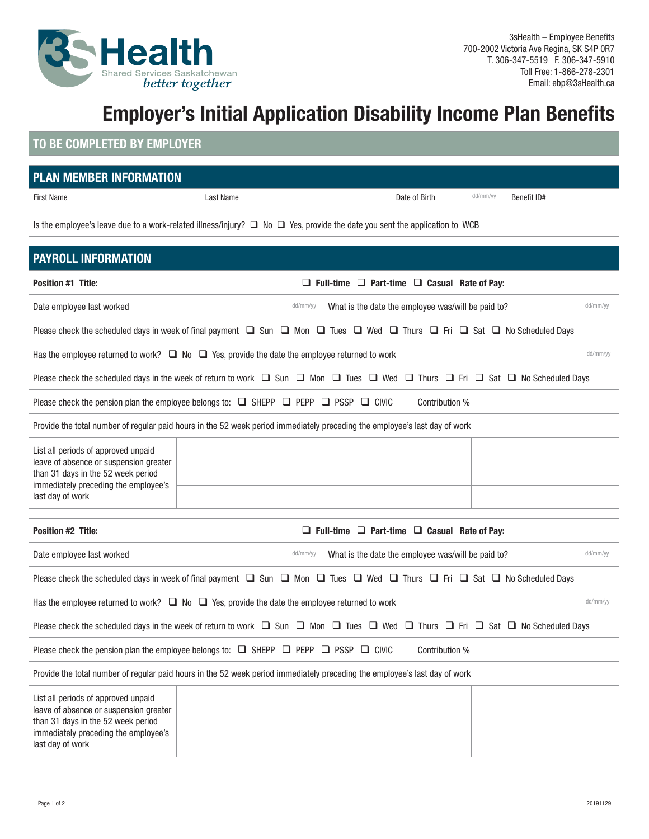

# **Employer's Initial Application Disability Income Plan Benefits**

### **TO BE COMPLETED BY EMPLOYER**

| <b>PLAN MEMBER INFORMATION</b>                                                                                                       |           |               |          |             |  |
|--------------------------------------------------------------------------------------------------------------------------------------|-----------|---------------|----------|-------------|--|
| First Name                                                                                                                           | Last Name | Date of Birth | dd/mm/yy | Benefit ID# |  |
| Is the employee's leave due to a work-related illness/injury? $\Box$ No $\Box$ Yes, provide the date you sent the application to WCB |           |               |          |             |  |

| <b>PAYROLL INFORMATION</b>                                                                                                                                  |                                                                                                                                                                        |                                                              |          |  |
|-------------------------------------------------------------------------------------------------------------------------------------------------------------|------------------------------------------------------------------------------------------------------------------------------------------------------------------------|--------------------------------------------------------------|----------|--|
| <b>Position #1 Title:</b><br>$\Box$ Full-time $\Box$ Part-time $\Box$ Casual Rate of Pay:                                                                   |                                                                                                                                                                        |                                                              |          |  |
| Date employee last worked                                                                                                                                   | dd/mm/yy                                                                                                                                                               | What is the date the employee was/will be paid to?           | dd/mm/yy |  |
|                                                                                                                                                             | Please check the scheduled days in week of final payment $\Box$ Sun $\Box$ Mon $\Box$ Tues $\Box$ Wed $\Box$ Thurs $\Box$ Fri $\Box$ Sat $\Box$ No Scheduled Days      |                                                              |          |  |
|                                                                                                                                                             | Has the employee returned to work? $\Box$ No $\Box$ Yes, provide the date the employee returned to work                                                                |                                                              | dd/mm/yy |  |
|                                                                                                                                                             | Please check the scheduled days in the week of return to work $\Box$ Sun $\Box$ Mon $\Box$ Tues $\Box$ Wed $\Box$ Thurs $\Box$ Fri $\Box$ Sat $\Box$ No Scheduled Days |                                                              |          |  |
|                                                                                                                                                             | Please check the pension plan the employee belongs to: $\Box$ SHEPP $\Box$ PEPP $\Box$ PSSP $\Box$ CIVIC                                                               | Contribution %                                               |          |  |
|                                                                                                                                                             | Provide the total number of regular paid hours in the 52 week period immediately preceding the employee's last day of work                                             |                                                              |          |  |
| List all periods of approved unpaid<br>leave of absence or suspension greater<br>than 31 days in the 52 week period<br>immediately preceding the employee's |                                                                                                                                                                        |                                                              |          |  |
| last day of work                                                                                                                                            |                                                                                                                                                                        |                                                              |          |  |
| <b>Position #2 Title:</b>                                                                                                                                   |                                                                                                                                                                        | $\Box$ Full-time $\Box$ Part-time $\Box$ Casual Rate of Pay: |          |  |
| Date employee last worked                                                                                                                                   | dd/mm/yy                                                                                                                                                               | What is the date the employee was/will be paid to?           | dd/mm/yy |  |
|                                                                                                                                                             | Please check the scheduled days in week of final payment $\Box$ Sun $\Box$ Mon $\Box$ Tues $\Box$ Wed $\Box$ Thurs $\Box$ Fri $\Box$ Sat $\Box$ No Scheduled Days      |                                                              |          |  |
|                                                                                                                                                             | Has the employee returned to work? $\Box$ No $\Box$ Yes, provide the date the employee returned to work                                                                |                                                              | dd/mm/yy |  |
|                                                                                                                                                             | Please check the scheduled days in the week of return to work $\Box$ Sun $\Box$ Mon $\Box$ Tues $\Box$ Wed $\Box$ Thurs $\Box$ Fri $\Box$ Sat $\Box$ No Scheduled Days |                                                              |          |  |
|                                                                                                                                                             | Please check the pension plan the employee belongs to: $\Box$ SHEPP $\Box$ PEPP $\Box$ PSSP $\Box$ CIVIC                                                               | Contribution %                                               |          |  |
|                                                                                                                                                             | Provide the total number of regular paid hours in the 52 week period immediately preceding the employee's last day of work                                             |                                                              |          |  |

| List all periods of approved unpaid<br>leave of absence or suspension greater<br>than 31 days in the 52 week period<br>immediately preceding the employee's<br>last day of work |  |  |
|---------------------------------------------------------------------------------------------------------------------------------------------------------------------------------|--|--|
|                                                                                                                                                                                 |  |  |
|                                                                                                                                                                                 |  |  |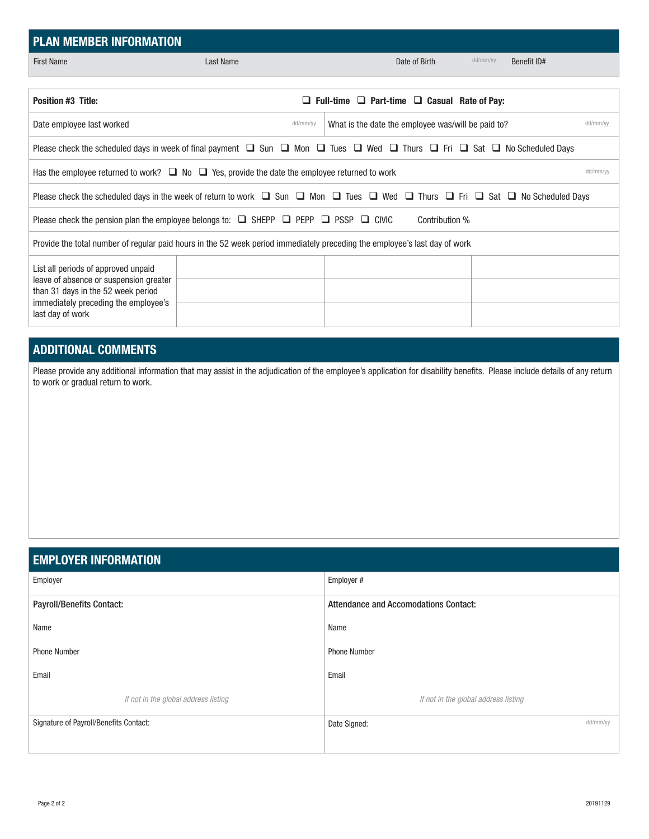| <b>PLAN MEMBER INFORMATION</b>                                                                                                                                                  |           |                                                                                                                                                                   |             |  |  |
|---------------------------------------------------------------------------------------------------------------------------------------------------------------------------------|-----------|-------------------------------------------------------------------------------------------------------------------------------------------------------------------|-------------|--|--|
| <b>First Name</b>                                                                                                                                                               | Last Name | dd/mm/yy<br>Date of Birth                                                                                                                                         | Benefit ID# |  |  |
|                                                                                                                                                                                 |           |                                                                                                                                                                   |             |  |  |
| <b>Position #3 Title:</b>                                                                                                                                                       |           | $\Box$ Full-time $\Box$ Part-time $\Box$ Casual Rate of Pay:                                                                                                      |             |  |  |
| Date employee last worked                                                                                                                                                       | dd/mm/yy  | What is the date the employee was/will be paid to?                                                                                                                | dd/mm/vv    |  |  |
|                                                                                                                                                                                 |           | Please check the scheduled days in week of final payment $\Box$ Sun $\Box$ Mon $\Box$ Tues $\Box$ Wed $\Box$ Thurs $\Box$ Fri $\Box$ Sat $\Box$ No Scheduled Days |             |  |  |
| Has the employee returned to work? $\Box$ No $\Box$ Yes, provide the date the employee returned to work                                                                         |           |                                                                                                                                                                   | dd/mm/yy    |  |  |
| Please check the scheduled days in the week of return to work $\Box$ Sun $\Box$ Mon $\Box$ Trues $\Box$ Wed $\Box$ Thurs $\Box$ Fri $\Box$ Sat $\Box$ No Scheduled Days         |           |                                                                                                                                                                   |             |  |  |
| Please check the pension plan the employee belongs to: $\Box$ SHEPP $\Box$ PEPP $\Box$ PSSP $\Box$ CIVIC<br>Contribution %                                                      |           |                                                                                                                                                                   |             |  |  |
|                                                                                                                                                                                 |           | Provide the total number of regular paid hours in the 52 week period immediately preceding the employee's last day of work                                        |             |  |  |
| List all periods of approved unpaid<br>leave of absence or suspension greater<br>than 31 days in the 52 week period<br>immediately preceding the employee's<br>last day of work |           |                                                                                                                                                                   |             |  |  |

### **ADDITIONAL COMMENTS**

Please provide any additional information that may assist in the adjudication of the employee's application for disability benefits. Please include details of any return to work or gradual return to work.

### **EMPLOYER INFORMATION**

| Employer                               | Employer #                                   |  |  |
|----------------------------------------|----------------------------------------------|--|--|
| <b>Payroll/Benefits Contact:</b>       | <b>Attendance and Accomodations Contact:</b> |  |  |
| Name                                   | Name                                         |  |  |
| <b>Phone Number</b>                    | <b>Phone Number</b>                          |  |  |
| Email                                  | Email                                        |  |  |
| If not in the global address listing   | If not in the global address listing         |  |  |
| Signature of Payroll/Benefits Contact: | dd/mm/yy<br>Date Signed:                     |  |  |
|                                        |                                              |  |  |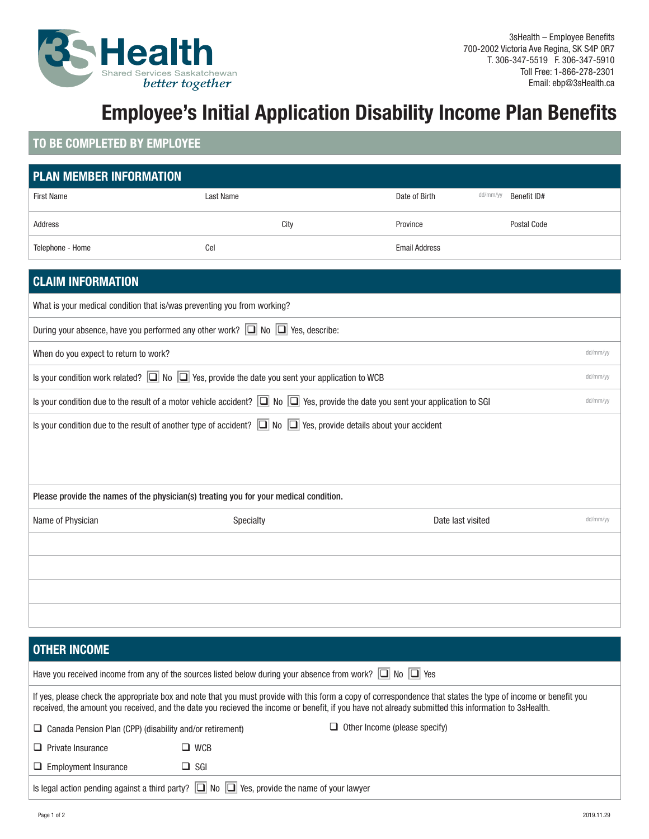

# **Employee's Initial Application Disability Income Plan Benefits**

## **TO BE COMPLETED BY EMPLOYEE**

| <b>PLAN MEMBER INFORMATION</b>                                                                                                                       |           |      |                      |          |             |          |
|------------------------------------------------------------------------------------------------------------------------------------------------------|-----------|------|----------------------|----------|-------------|----------|
| <b>First Name</b>                                                                                                                                    | Last Name |      | Date of Birth        | dd/mm/yy | Benefit ID# |          |
| Address                                                                                                                                              |           | City | Province             |          | Postal Code |          |
| Telephone - Home                                                                                                                                     | Cel       |      | <b>Email Address</b> |          |             |          |
| <b>CLAIM INFORMATION</b>                                                                                                                             |           |      |                      |          |             |          |
|                                                                                                                                                      |           |      |                      |          |             |          |
| What is your medical condition that is/was preventing you from working?                                                                              |           |      |                      |          |             |          |
| During your absence, have you performed any other work? $\Box$ No $\Box$ Yes, describe:                                                              |           |      |                      |          |             |          |
| When do you expect to return to work?                                                                                                                |           |      |                      |          |             | dd/mm/yy |
| Is your condition work related? $\Box$ No $\Box$ Yes, provide the date you sent your application to WCB                                              |           |      |                      |          |             |          |
| Is your condition due to the result of a motor vehicle accident? $\Box$ No $\Box$ Yes, provide the date you sent your application to SGI<br>dd/mm/yy |           |      |                      |          |             |          |
| Is your condition due to the result of another type of accident? $\Box$ No $\Box$ Yes, provide details about your accident                           |           |      |                      |          |             |          |
|                                                                                                                                                      |           |      |                      |          |             |          |
|                                                                                                                                                      |           |      |                      |          |             |          |
| Please provide the names of the physician(s) treating you for your medical condition.                                                                |           |      |                      |          |             |          |
| Name of Physician                                                                                                                                    | Specialty |      | Date last visited    |          |             | dd/mm/yy |
|                                                                                                                                                      |           |      |                      |          |             |          |
|                                                                                                                                                      |           |      |                      |          |             |          |
|                                                                                                                                                      |           |      |                      |          |             |          |
|                                                                                                                                                      |           |      |                      |          |             |          |
|                                                                                                                                                      |           |      |                      |          |             |          |
| <b>OTHER INCOME</b>                                                                                                                                  |           |      |                      |          |             |          |

| Have you received income from any of the sources listed below during your absence from work? $\Box$ No $\Box$ Yes                                                                                                                                                                                                    |            |                                      |  |  |
|----------------------------------------------------------------------------------------------------------------------------------------------------------------------------------------------------------------------------------------------------------------------------------------------------------------------|------------|--------------------------------------|--|--|
| If yes, please check the appropriate box and note that you must provide with this form a copy of correspondence that states the type of income or benefit you<br>received, the amount you received, and the date you recieved the income or benefit, if you have not already submitted this information to 3sHealth. |            |                                      |  |  |
| $\Box$ Canada Pension Plan (CPP) (disability and/or retirement)                                                                                                                                                                                                                                                      |            | $\Box$ Other Income (please specify) |  |  |
| $\Box$ Private Insurance                                                                                                                                                                                                                                                                                             | $\Box$ WCB |                                      |  |  |
| $\Box$ Employment Insurance                                                                                                                                                                                                                                                                                          | $\Box$ SGI |                                      |  |  |
| Is legal action pending against a third party? $\Box$ No $\Box$ Yes, provide the name of your lawyer                                                                                                                                                                                                                 |            |                                      |  |  |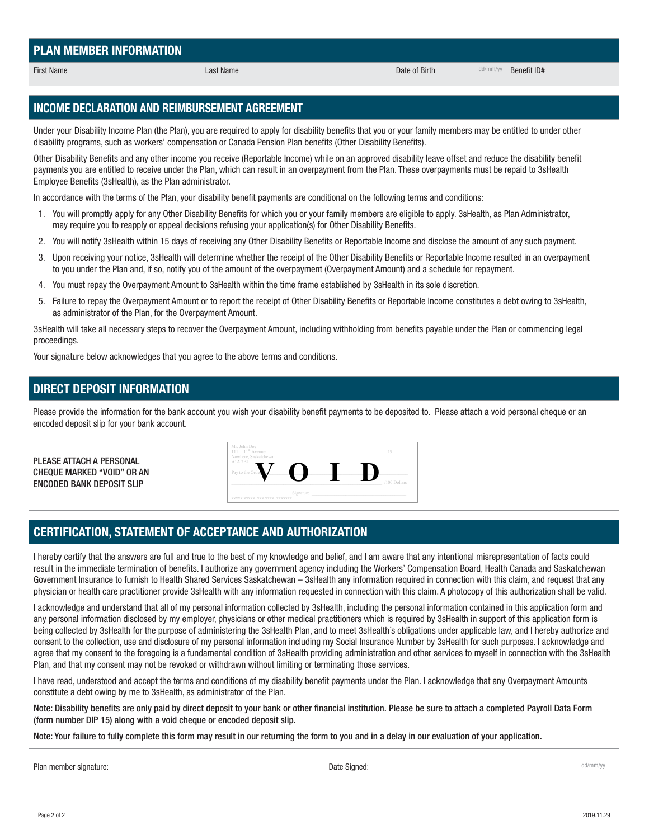Plan member signature: dd/mm/yy dd/mm/yy dd/mm/yy and a control of the Signed: a control of the Signed: dd/mm/yy

**INCOME DECLARATION AND REIMBURSEMENT AGREEMENT**

Under your Disability Income Plan (the Plan), you are required to apply for disability benefits that you or your family members may be entitled to under other disability programs, such as workers' compensation or Canada Pension Plan benefits (Other Disability Benefits).

Other Disability Benefits and any other income you receive (Reportable Income) while on an approved disability leave offset and reduce the disability benefit payments you are entitled to receive under the Plan, which can result in an overpayment from the Plan. These overpayments must be repaid to 3sHealth Employee Benefits (3sHealth), as the Plan administrator.

In accordance with the terms of the Plan, your disability benefit payments are conditional on the following terms and conditions:

- 1. You will promptly apply for any Other Disability Benefits for which you or your family members are eligible to apply. 3sHealth, as Plan Administrator, may require you to reapply or appeal decisions refusing your application(s) for Other Disability Benefits.
- 2. You will notify 3sHealth within 15 days of receiving any Other Disability Benefits or Reportable Income and disclose the amount of any such payment.
- 3. Upon receiving your notice, 3sHealth will determine whether the receipt of the Other Disability Benefits or Reportable Income resulted in an overpayment to you under the Plan and, if so, notify you of the amount of the overpayment (Overpayment Amount) and a schedule for repayment.
- 4. You must repay the Overpayment Amount to 3sHealth within the time frame established by 3sHealth in its sole discretion.
- 5. Failure to repay the Overpayment Amount or to report the receipt of Other Disability Benefits or Reportable Income constitutes a debt owing to 3sHealth, as administrator of the Plan, for the Overpayment Amount.

3sHealth will take all necessary steps to recover the Overpayment Amount, including withholding from benefits payable under the Plan or commencing legal proceedings.

Your signature below acknowledges that you agree to the above terms and conditions.

### **DIRECT DEPOSIT INFORMATION**  $C_{\text{C}}$  , and the contract of  $\mathcal{L}_{\text{C}}$  , and  $\mathcal{L}_{\text{C}}$  , and  $\mathcal{L}_{\text{C}}$  , and  $\mathcal{L}_{\text{C}}$  , and  $\mathcal{L}_{\text{C}}$

Please provide the information for the bank account you wish your disability benefit payments to be deposited to. Please attach a void personal cheque or an encoded deposit slip for your bank account.

Street address \_\_\_\_\_\_\_\_\_\_\_\_\_\_\_\_\_\_\_\_\_\_\_\_\_\_\_\_\_\_\_\_\_\_\_\_\_\_\_\_\_\_\_\_\_\_\_\_\_\_\_\_\_\_\_\_\_\_\_\_\_\_\_\_\_\_\_\_\_\_\_\_\_\_\_\_\_\_\_\_\_\_\_\_\_\_\_\_\_\_\_\_\_\_\_\_\_\_\_\_\_\_\_\_\_\_\_\_\_\_\_\_\_\_\_\_\_\_\_\_\_\_

PLEASE ATTACH A PERSONAL CHEQUE MARKED "VOID" OR AN ENCODED BANK DEPOSIT SLIP

### **FOR OFFICE USE ONLY CERTIFICATION, STATEMENT OF ACCEPTANCE AND AUTHORIZATION**

I hereby certify that the answers are full and true to the best of my knowledge and belief, and I am aware that any intentional misrepresentation of facts could result in the immediate termination of benefits. I authorize any government agency including the Workers' Compensation Board, Health Canada and Saskatchewan Government Insurance to furnish to Health Shared Services Saskatchewan – 3sHealth any information required in connection with this claim, and request that any *3sHealth Employee Benefits is committed to protecting the privacy of your personal information. We collect and use your personal information to determine your eligibility for*  physician or health care practitioner provide 3sHealth with any information requested in connection with this claim. A photocopy of this authorization shall be valid.

any personal information disclosed by my employer, physicians or other medical practitioners which is required by 3sHealth in support of this application form is I acknowledge and understand that all of my personal information collected by 3sHealth, including the personal information contained in this application form and being collected by 3sHealth for the purpose of administering the 3sHealth Plan, and to meet 3sHealth's obligations under applicable law, and I hereby authorize and consent to the collection, use and disclosure of my personal information including my Social Insurance Number by 3sHealth for such purposes. I acknowledge and agree that my consent to the foregoing is a fundamental condition of 3sHealth providing administration and other services to myself in connection with the 3sHealth Plan, and that my consent may not be revoked or withdrawn without limiting or terminating those services.

I have read, understood and accept the terms and conditions of my disability benefit payments under the Plan. I acknowledge that any Overpayment Amounts constitute a debt owing by me to 3sHealth, as administrator of the Plan.

Note: Disability benefits are only paid by direct deposit to your bank or other financial institution. Please be sure to attach a completed Payroll Data Form (form number DIP 15) along with a void cheque or encoded deposit slip.

Page 2 of 2 2019.11.29

Note: Your failure to fully complete this form may result in our returning the form to you and in a delay in our evaluation of your application.

### **PLAN MEMBER INFORMATION**

First Name determines the control of the Last Name Last Name Control of Birth determines of Birth determines of Benefit ID#





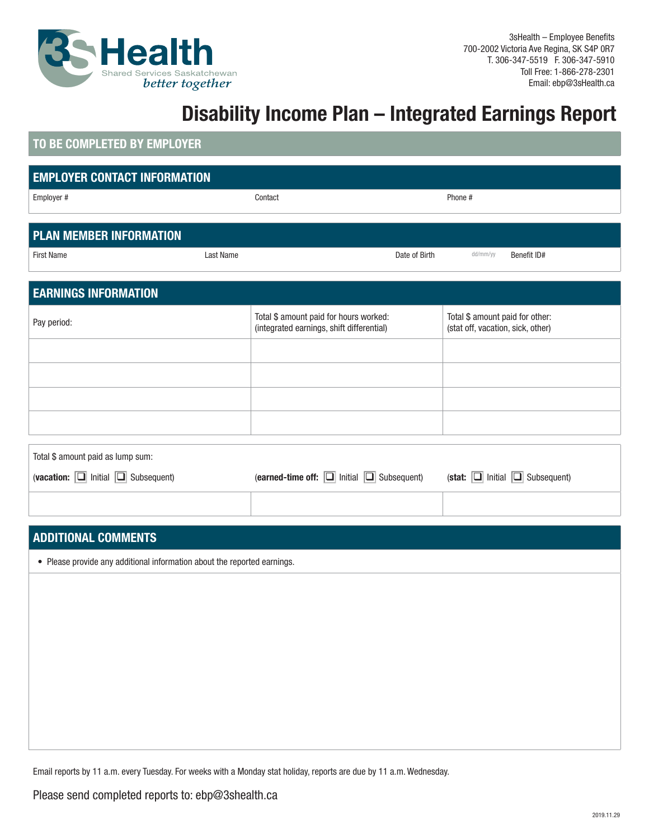

## **Disability Income Plan – Integrated Earnings Report**

### **TO BE COMPLETED BY EMPLOYER**

| <b>EMPLOYER CONTACT INFORMATION</b>                                      |           |                                                                                     |                                                                      |
|--------------------------------------------------------------------------|-----------|-------------------------------------------------------------------------------------|----------------------------------------------------------------------|
| Employer #                                                               | Contact   |                                                                                     | Phone #                                                              |
|                                                                          |           |                                                                                     |                                                                      |
| <b>PLAN MEMBER INFORMATION</b>                                           |           |                                                                                     |                                                                      |
| <b>First Name</b>                                                        | Last Name | Date of Birth                                                                       | dd/mm/yy<br>Benefit ID#                                              |
|                                                                          |           |                                                                                     |                                                                      |
| <b>EARNINGS INFORMATION</b>                                              |           |                                                                                     |                                                                      |
| Pay period:                                                              |           | Total \$ amount paid for hours worked:<br>(integrated earnings, shift differential) | Total \$ amount paid for other:<br>(stat off, vacation, sick, other) |
|                                                                          |           |                                                                                     |                                                                      |
|                                                                          |           |                                                                                     |                                                                      |
|                                                                          |           |                                                                                     |                                                                      |
|                                                                          |           |                                                                                     |                                                                      |
| Total \$ amount paid as lump sum:                                        |           |                                                                                     |                                                                      |
| (vacation: $\boxed{\square}$ Initial $\boxed{\square}$ Subsequent)       |           | (earned-time off: $\boxed{\square}$ Initial $\boxed{\square}$ Subsequent)           | (stat: $\boxed{\square}$ Initial $\boxed{\square}$ Subsequent)       |
|                                                                          |           |                                                                                     |                                                                      |
|                                                                          |           |                                                                                     |                                                                      |
|                                                                          |           |                                                                                     |                                                                      |
| <b>ADDITIONAL COMMENTS</b>                                               |           |                                                                                     |                                                                      |
| • Please provide any additional information about the reported earnings. |           |                                                                                     |                                                                      |
|                                                                          |           |                                                                                     |                                                                      |
|                                                                          |           |                                                                                     |                                                                      |
|                                                                          |           |                                                                                     |                                                                      |
|                                                                          |           |                                                                                     |                                                                      |
|                                                                          |           |                                                                                     |                                                                      |
|                                                                          |           |                                                                                     |                                                                      |
|                                                                          |           |                                                                                     |                                                                      |
|                                                                          |           |                                                                                     |                                                                      |

Email reports by 11 a.m. every Tuesday. For weeks with a Monday stat holiday, reports are due by 11 a.m. Wednesday.

Please send completed reports to: ebp@3shealth.ca